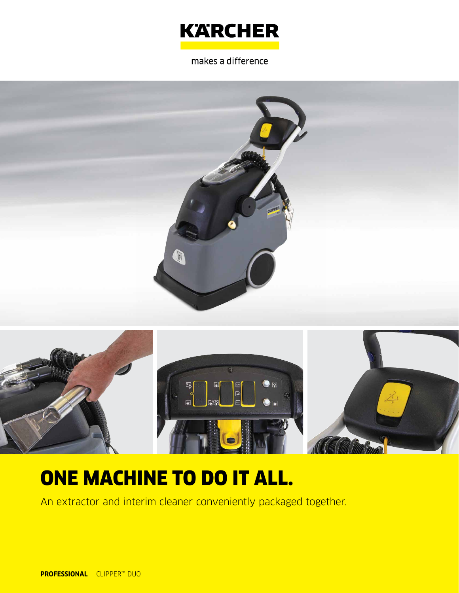

makes a difference





# ONE MACHINE TO DO IT ALL.

An extractor and interim cleaner conveniently packaged together.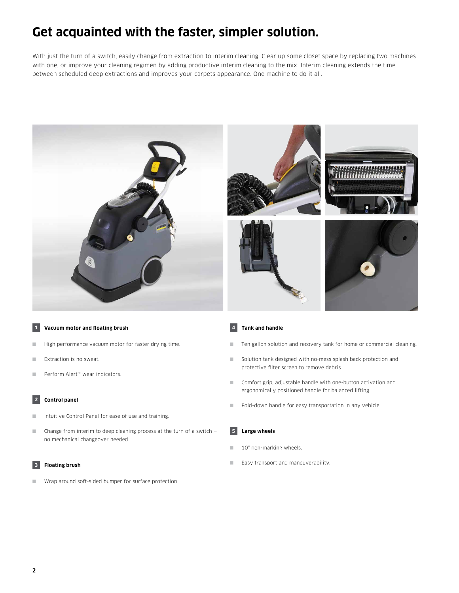### **Get acquainted with the faster, simpler solution.**

With just the turn of a switch, easily change from extraction to interim cleaning. Clear up some closet space by replacing two machines with one, or improve your cleaning regimen by adding productive interim cleaning to the mix. Interim cleaning extends the time between scheduled deep extractions and improves your carpets appearance. One machine to do it all.



#### **1 Vacuum motor and floating brush**

- High performance vacuum motor for faster drying time.
- Extraction is no sweat.
- Perform Alert™ wear indicators.

#### **2 Control panel**

- Intuitive Control Panel for ease of use and training.
- $\Box$  Change from interim to deep cleaning process at the turn of a switch  $$ no mechanical changeover needed.

#### **3 Floating brush**

■ Wrap around soft-sided bumper for surface protection.

#### **4 Tank and handle**

- Ten gallon solution and recovery tank for home or commercial cleaning.
- Solution tank designed with no-mess splash back protection and protective filter screen to remove debris.
- Comfort grip, adjustable handle with one-button activation and ergonomically positioned handle for balanced lifting.
- Fold-down handle for easy transportation in any vehicle.

#### **5 Large wheels**

- 10" non-marking wheels.
- Easy transport and maneuverability.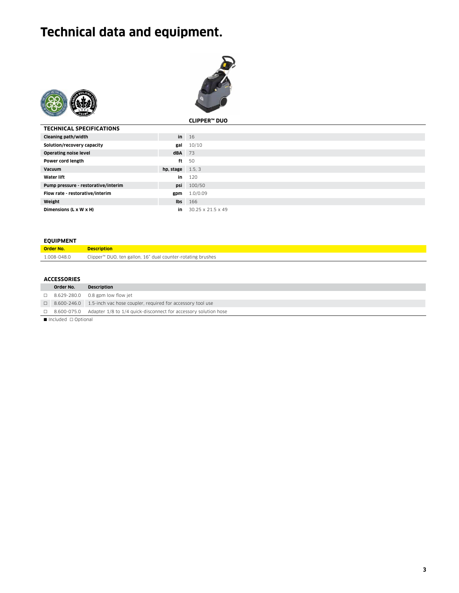## **Technical data and equipment.**





|                                     |                           | CLIPPER™ DUO      |
|-------------------------------------|---------------------------|-------------------|
| <b>TECHNICAL SPECIFICATIONS</b>     |                           |                   |
| Cleaning path/width                 |                           | $in$ 16           |
| Solution/recovery capacity          | gal                       | 10/10             |
| <b>Operating noise level</b>        | $dBA$ 73                  |                   |
| Power cord length                   | ft                        | 50                |
| Vacuum                              | <b>hp.</b> stage $1.5, 3$ |                   |
| <b>Water lift</b>                   | in                        | 120               |
| Pump pressure - restorative/interim | psi                       | 100/50            |
| Flow rate - restorative/interim     | gpm                       | 1.0/0.09          |
| Weight                              | lbs                       | 166               |
| Dimensions (L x W x H)              | in                        | 30.25 x 21.5 x 49 |

#### **EQUIPMENT**

| <b>Order No.</b> | <b>Description</b>                                          |
|------------------|-------------------------------------------------------------|
| 1.008-048.0      | Clipper™ DUO, ten gallon, 16" dual counter-rotating brushes |

#### **ACCESSORIES**

| Order No.                                                                                                       | <b>Description</b>                                                                 |
|-----------------------------------------------------------------------------------------------------------------|------------------------------------------------------------------------------------|
|                                                                                                                 | $\Box$ 8.629-280.0 0.8 gpm low flow jet                                            |
|                                                                                                                 | □ 8.600-246.0 1.5-inch vac hose coupler, required for accessory tool use           |
|                                                                                                                 | $\Box$ 8.600-075.0 Adapter 1/8 to 1/4 quick-disconnect for accessory solution hose |
| the contract of the contract of the contract of the contract of the contract of the contract of the contract of |                                                                                    |

 $\blacksquare$  Included  $\Box$  Optional